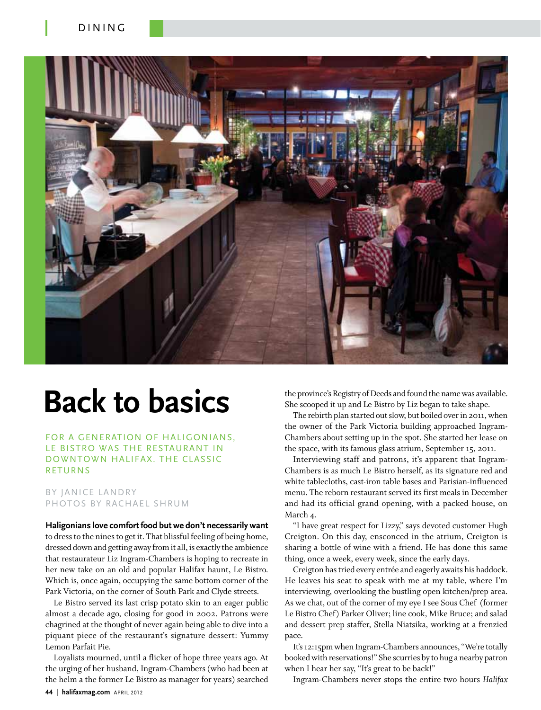

# **Back to basics**

FOR A GENERATION OF HALIGONIANS. Le Bistro was the restaurant in downtown Halifax. the classic **RETURNS** 

# By Janice Landry PHOTOS BY RACHAEL SHRUM

**Haligonians love comfort food but we don't necessarily want** to dress to the nines to get it. That blissful feeling of being home, dressed down and getting away from it all, is exactly the ambience that restaurateur Liz Ingram-Chambers is hoping to recreate in her new take on an old and popular Halifax haunt, Le Bistro. Which is, once again, occupying the same bottom corner of the Park Victoria, on the corner of South Park and Clyde streets.

Le Bistro served its last crisp potato skin to an eager public almost a decade ago, closing for good in 2002. Patrons were chagrined at the thought of never again being able to dive into a piquant piece of the restaurant's signature dessert: Yummy Lemon Parfait Pie.

Loyalists mourned, until a flicker of hope three years ago. At the urging of her husband, Ingram-Chambers (who had been at the helm a the former Le Bistro as manager for years) searched

the province's Registry of Deeds and found the name was available. She scooped it up and Le Bistro by Liz began to take shape.

The rebirth plan started out slow, but boiled over in 2011, when the owner of the Park Victoria building approached Ingram-Chambers about setting up in the spot. She started her lease on the space, with its famous glass atrium, September 15, 2011.

Interviewing staff and patrons, it's apparent that Ingram-Chambers is as much Le Bistro herself, as its signature red and white tablecloths, cast-iron table bases and Parisian-influenced menu. The reborn restaurant served its first meals in December and had its official grand opening, with a packed house, on March 4.

"I have great respect for Lizzy," says devoted customer Hugh Creigton. On this day, ensconced in the atrium, Creigton is sharing a bottle of wine with a friend. He has done this same thing, once a week, every week, since the early days.

Creigton has tried every entrée and eagerly awaits his haddock. He leaves his seat to speak with me at my table, where I'm interviewing, overlooking the bustling open kitchen/prep area. As we chat, out of the corner of my eye I see Sous Chef (former Le Bistro Chef) Parker Oliver; line cook, Mike Bruce; and salad and dessert prep staffer, Stella Niatsika, working at a frenzied pace.

It's 12:15pm when Ingram-Chambers announces, "We're totally booked with reservations!" She scurries by to hug a nearby patron when I hear her say, "It's great to be back!"

Ingram-Chambers never stops the entire two hours *Halifax*